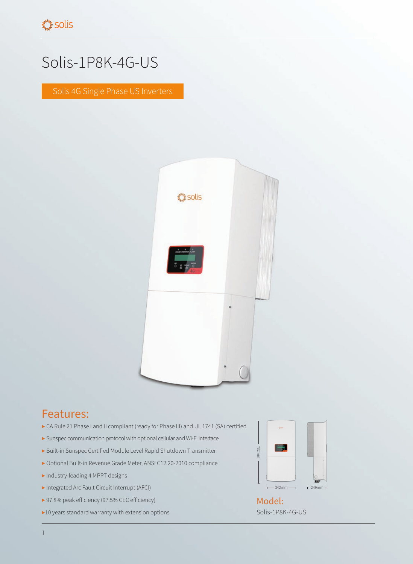## Solis-1P8K-4G-US

Solis 4G Single Phase US Inverters



## Features:

- ▶ CA Rule 21 Phase I and II compliant (ready for Phase III) and UL 1741 (SA) certified
- ▶ Sunspec communication protocol with optional cellular and Wi-Fi interface
- ▶ Built-in Sunspec Certified Module Level Rapid Shutdown Transmitter
- ▶ Optional Built-in Revenue Grade Meter, ANSI C12.20-2010 compliance
- ▶ Industry-leading 4 MPPT designs
- ▶ Integrated Arc Fault Circuit Interrupt (AFCI)
- ▶ 97.8% peak efficiency (97.5% CEC efficiency)
- ▶10 years standard warranty with extension options



Solis-1P8K-4G-US Model: